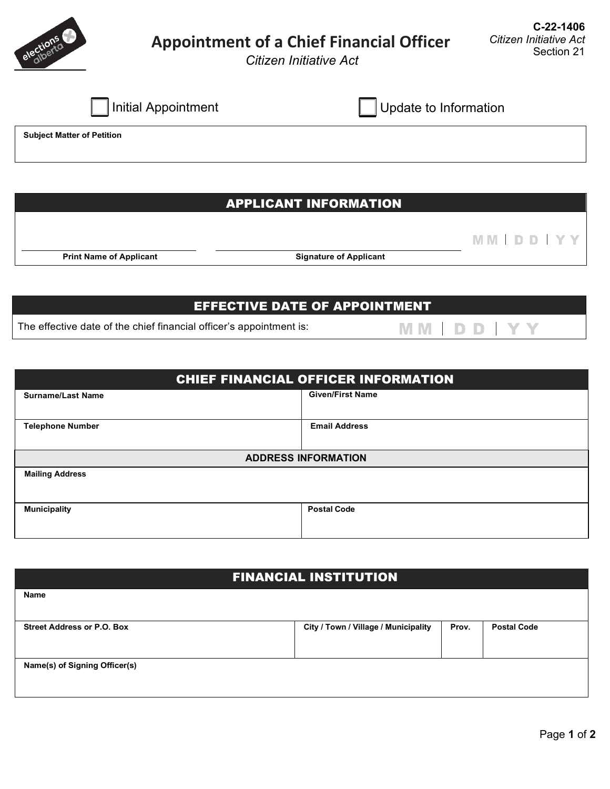

# **Appointment of a Chief Financial Officer**

**MM | DD | YY** 

MM | DD | YY

*Citizen Initiative Act* 

|  | Initial Appointment |
|--|---------------------|
|  |                     |

| <b>Initial Appointment</b> | Update to Information |
|----------------------------|-----------------------|
|                            |                       |

**Subject Matter of Petition** 

## APPLICANT INFORMATION

**Print Name of Applicant CONSIDER SIGNATURE SIGNATURE SIGNATURE SIGNATURE SIGNATURE SIGNATURE SIGNATURE SIGNATURE SIGNATURE SIGNATURE SIGNATURE SIGNATURE SIGNATURE SIGNATURE SIGNATURE SIGNATURE SIGNATURE SIGNATURE SIGNAT** 

# EFFECTIVE DATE OF APPOINTMENT

The effective date of the chief financial officer's appointment is:

| <b>CHIEF FINANCIAL OFFICER INFORMATION</b> |                            |  |
|--------------------------------------------|----------------------------|--|
| <b>Surname/Last Name</b>                   | <b>Given/First Name</b>    |  |
| <b>Telephone Number</b>                    | <b>Email Address</b>       |  |
|                                            | <b>ADDRESS INFORMATION</b> |  |
| <b>Mailing Address</b>                     |                            |  |
| <b>Municipality</b>                        | <b>Postal Code</b>         |  |

# FINANCIAL INSTITUTION

| <b>Name</b>                       |                                      |       |                    |
|-----------------------------------|--------------------------------------|-------|--------------------|
| <b>Street Address or P.O. Box</b> | City / Town / Village / Municipality | Prov. | <b>Postal Code</b> |
| Name(s) of Signing Officer(s)     |                                      |       |                    |